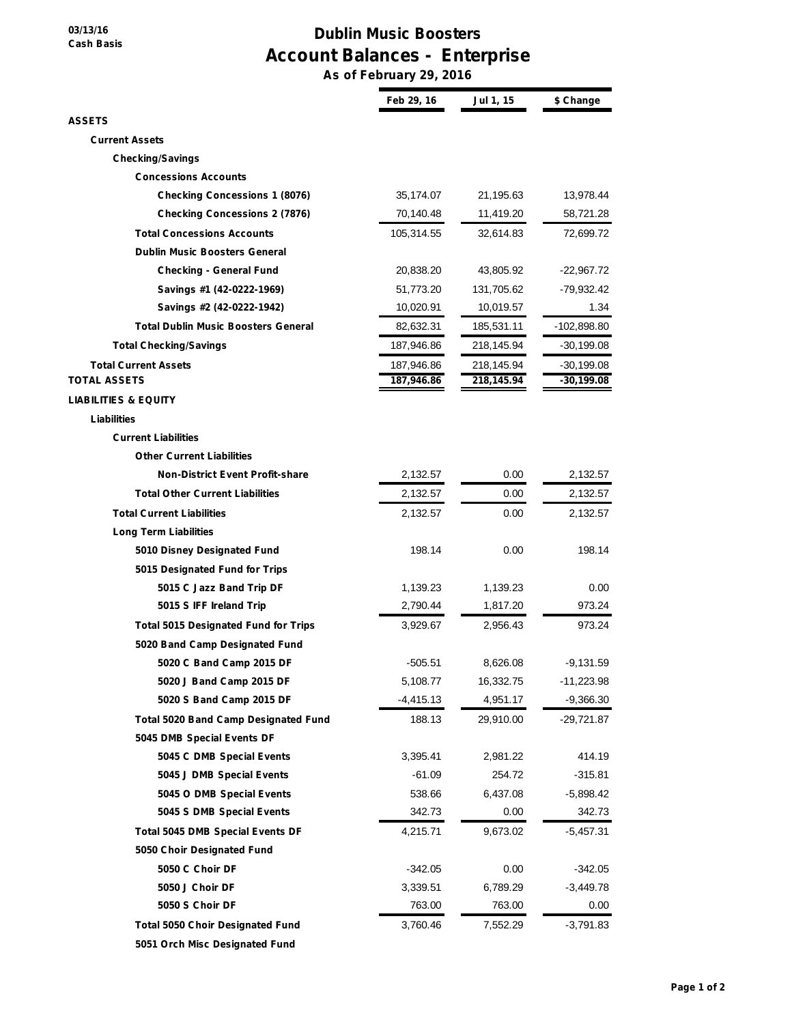## **03/13/16 Cash Basis**

## **Dublin Music Boosters Account Balances - Enterprise**

**As of February 29, 2016**

|                                             | Feb 29, 16  | Jul 1, 15  | \$ Change     |
|---------------------------------------------|-------------|------------|---------------|
| <b>ASSETS</b>                               |             |            |               |
| <b>Current Assets</b>                       |             |            |               |
| <b>Checking/Savings</b>                     |             |            |               |
| <b>Concessions Accounts</b>                 |             |            |               |
| <b>Checking Concessions 1 (8076)</b>        | 35,174.07   | 21,195.63  | 13,978.44     |
| <b>Checking Concessions 2 (7876)</b>        | 70,140.48   | 11,419.20  | 58,721.28     |
| <b>Total Concessions Accounts</b>           | 105,314.55  | 32,614.83  | 72,699.72     |
| <b>Dublin Music Boosters General</b>        |             |            |               |
| <b>Checking - General Fund</b>              | 20,838.20   | 43,805.92  | -22,967.72    |
| Savings #1 (42-0222-1969)                   | 51,773.20   | 131,705.62 | -79,932.42    |
| Savings #2 (42-0222-1942)                   | 10,020.91   | 10,019.57  | 1.34          |
| <b>Total Dublin Music Boosters General</b>  | 82,632.31   | 185,531.11 | $-102,898.80$ |
| <b>Total Checking/Savings</b>               | 187,946.86  | 218,145.94 | -30,199.08    |
| <b>Total Current Assets</b>                 | 187,946.86  | 218,145.94 | -30,199.08    |
| <b>TOTAL ASSETS</b>                         | 187,946.86  | 218,145.94 | $-30,199.08$  |
| <b>LIABILITIES &amp; EQUITY</b>             |             |            |               |
| Liabilities                                 |             |            |               |
| <b>Current Liabilities</b>                  |             |            |               |
| <b>Other Current Liabilities</b>            |             |            |               |
| <b>Non-District Event Profit-share</b>      | 2,132.57    | 0.00       | 2,132.57      |
| <b>Total Other Current Liabilities</b>      | 2,132.57    | 0.00       | 2,132.57      |
| <b>Total Current Liabilities</b>            | 2,132.57    | 0.00       | 2,132.57      |
| <b>Long Term Liabilities</b>                |             |            |               |
| 5010 Disney Designated Fund                 | 198.14      | 0.00       | 198.14        |
| 5015 Designated Fund for Trips              |             |            |               |
| 5015 C Jazz Band Trip DF                    | 1,139.23    | 1,139.23   | 0.00          |
| 5015 S IFF Ireland Trip                     | 2,790.44    | 1,817.20   | 973.24        |
| <b>Total 5015 Designated Fund for Trips</b> | 3,929.67    | 2,956.43   | 973.24        |
| 5020 Band Camp Designated Fund              |             |            |               |
| 5020 C Band Camp 2015 DF                    | $-505.51$   | 8,626.08   | $-9,131.59$   |
| 5020 J Band Camp 2015 DF                    | 5,108.77    | 16,332.75  | $-11,223.98$  |
| 5020 S Band Camp 2015 DF                    | $-4,415.13$ | 4,951.17   | $-9,366.30$   |
| <b>Total 5020 Band Camp Designated Fund</b> | 188.13      | 29,910.00  | -29,721.87    |
| 5045 DMB Special Events DF                  |             |            |               |
| 5045 C DMB Special Events                   | 3,395.41    | 2,981.22   | 414.19        |
| 5045 J DMB Special Events                   | $-61.09$    | 254.72     | $-315.81$     |
| 5045 O DMB Special Events                   | 538.66      | 6,437.08   | $-5,898.42$   |
| 5045 S DMB Special Events                   | 342.73      | 0.00       | 342.73        |
| <b>Total 5045 DMB Special Events DF</b>     | 4,215.71    | 9,673.02   | -5,457.31     |
| 5050 Choir Designated Fund                  |             |            |               |
| 5050 C Choir DF                             | $-342.05$   | 0.00       | -342.05       |
| 5050 J Choir DF                             | 3,339.51    | 6,789.29   | $-3,449.78$   |
| 5050 S Choir DF                             | 763.00      | 763.00     | 0.00          |
| <b>Total 5050 Choir Designated Fund</b>     | 3,760.46    | 7,552.29   | $-3,791.83$   |
| 5051 Orch Misc Designated Fund              |             |            |               |